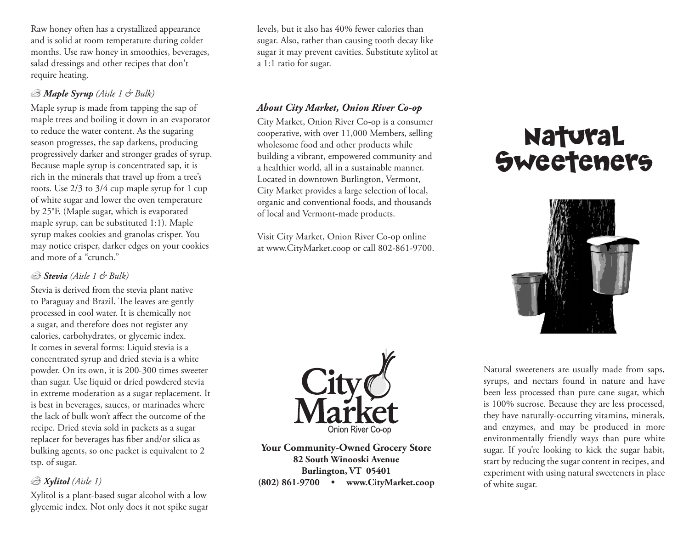Raw honey often has a crystallized appearance and is solid at room temperature during colder months. Use raw honey in smoothies, beverages, salad dressings and other recipes that don't require heating.

## *Maple Syrup (Aisle 1 & Bulk)*

Maple syrup is made from tapping the sap of maple trees and boiling it down in an evaporator to reduce the water content. As the sugaring season progresses, the sap darkens, producing progressively darker and stronger grades of syrup. Because maple syrup is concentrated sap, it is rich in the minerals that travel up from a tree's roots. Use 2/3 to 3/4 cup maple syrup for 1 cup of white sugar and lower the oven temperature by 25°F. (Maple sugar, which is evaporated maple syrup, can be substituted 1:1). Maple syrup makes cookies and granolas crisper. You may notice crisper, darker edges on your cookies and more of a "crunch."

## *Stevia (Aisle 1 & Bulk)*

Stevia is derived from the stevia plant native to Paraguay and Brazil. The leaves are gently processed in cool water. It is chemically not a sugar, and therefore does not register any calories, carbohydrates, or glycemic index. It comes in several forms: Liquid stevia is a concentrated syrup and dried stevia is a white powder. On its own, it is 200-300 times sweeter than sugar. Use liquid or dried powdered stevia in extreme moderation as a sugar replacement. It is best in beverages, sauces, or marinades where the lack of bulk won't affect the outcome of the recipe. Dried stevia sold in packets as a sugar replacer for beverages has fiber and/or silica as bulking agents, so one packet is equivalent to 2 tsp. of sugar.

# *Xylitol (Aisle 1)*

Xylitol is a plant-based sugar alcohol with a low glycemic index. Not only does it not spike sugar

levels, but it also has 40% fewer calories than sugar. Also, rather than causing tooth decay like sugar it may prevent cavities. Substitute xylitol at a 1:1 ratio for sugar.

# *About City Market, Onion River Co-op*

City Market, Onion River Co-op is a consumer cooperative, with over 11,000 Members, selling wholesome food and other products while building a vibrant, empowered community and a healthier world, all in a sustainable manner. Located in downtown Burlington, Vermont, City Market provides a large selection of local, organic and conventional foods, and thousands of local and Vermont-made products.

Visit City Market, Onion River Co-op online at www.CityMarket.coop or call 802-861-9700.



**Your Community-Owned Grocery Store 82 South Winooski Avenue Burlington, VT 05401 (802) 861-9700 • www.CityMarket.coop**

# Natural **Sweeteners**



Natural sweeteners are usually made from saps, syrups, and nectars found in nature and have been less processed than pure cane sugar, which is 100% sucrose. Because they are less processed, they have naturally-occurring vitamins, minerals, and enzymes, and may be produced in more environmentally friendly ways than pure white sugar. If you're looking to kick the sugar habit, start by reducing the sugar content in recipes, and experiment with using natural sweeteners in place of white sugar.